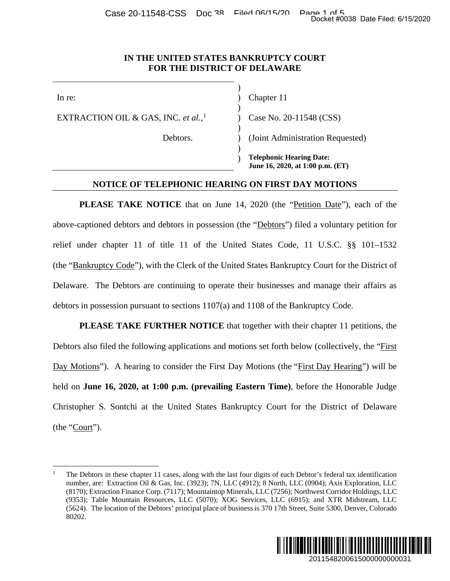#### **IN THE UNITED STATES BANKRUPTCY COURT FOR THE DISTRICT OF DELAWARE**

)

)

)

)

EXTRACTION OIL & GAS, INC. *et al.*,

In re: (a) Chapter 11

[1](#page-0-0) ) Case No. 20-11548 (CSS)

Debtors. ) (Joint Administration Requested)

) **Telephonic Hearing Date: June 16, 2020, at 1:00 p.m. (ET)**

### **NOTICE OF TELEPHONIC HEARING ON FIRST DAY MOTIONS**

PLEASE TAKE NOTICE that on June 14, 2020 (the "Petition Date"), each of the above-captioned debtors and debtors in possession (the "Debtors") filed a voluntary petition for relief under chapter 11 of title 11 of the United States Code, 11 U.S.C. §§ 101–1532 (the "Bankruptcy Code"), with the Clerk of the United States Bankruptcy Court for the District of Delaware. The Debtors are continuing to operate their businesses and manage their affairs as debtors in possession pursuant to sections 1107(a) and 1108 of the Bankruptcy Code. Docket #0038 Date Filed: 6/15/2020<br>
2018<br>
2018<br>
2018<br>
2018<br>
2018<br>
2019 P.m. (ET)<br>
2010 P.m. (ET)<br>
2010 P.m. (ET)<br>
2010 P.m. (ET)<br>
2011 For Step Filed: 6<br>
2011 P.m. (The District of<br>
2018<br>
2018 P.m. (The View Triang Code)<br>

**PLEASE TAKE FURTHER NOTICE** that together with their chapter 11 petitions, the Debtors also filed the following applications and motions set forth below (collectively, the "First Day Motions"). A hearing to consider the First Day Motions (the "First Day Hearing") will be held on **June 16, 2020, at 1:00 p.m. (prevailing Eastern Time)**, before the Honorable Judge Christopher S. Sontchi at the United States Bankruptcy Court for the District of Delaware (the "Court").

<span id="page-0-0"></span> <sup>1</sup> The Debtors in these chapter 11 cases, along with the last four digits of each Debtor's federal tax identification number, are: Extraction Oil & Gas, Inc. (3923); 7N, LLC (4912); 8 North, LLC (0904); Axis Exploration, LLC (8170); Extraction Finance Corp. (7117); Mountaintop Minerals, LLC (7256); Northwest Corridor Holdings, LLC (9353); Table Mountain Resources, LLC (5070); XOG Services, LLC (6915); and XTR Midstream, LLC (5624). The location of the Debtors' principal place of business is 370 17th Street, Suite 5300, Denver, Colorado 80202.

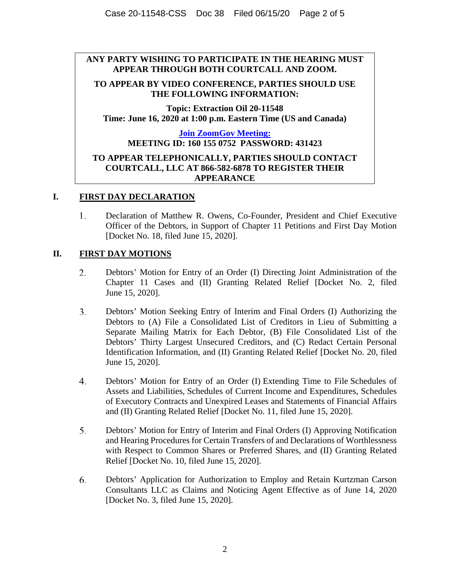## **ANY PARTY WISHING TO PARTICIPATE IN THE HEARING MUST APPEAR THROUGH BOTH COURTCALL AND ZOOM.**

### **TO APPEAR BY VIDEO CONFERENCE, PARTIES SHOULD USE THE FOLLOWING INFORMATION:**

**Topic: Extraction Oil 20-11548 Time: June 16, 2020 at 1:00 p.m. Eastern Time (US and Canada)**

# **[Join ZoomGov Meeting:](https://debuscourts.zoomgov.com/wc/join/1601550752?tk=&prefer=0&track_id=&meeting_result=&jmf_code=&wpk=) MEETING ID: 160 155 0752 PASSWORD: 431423 TO APPEAR TELEPHONICALLY, PARTIES SHOULD CONTACT COURTCALL, LLC AT 866-582-6878 TO REGISTER THEIR APPEARANCE**

## **I. FIRST DAY DECLARATION**

1. Declaration of Matthew R. Owens, Co-Founder, President and Chief Executive Officer of the Debtors, in Support of Chapter 11 Petitions and First Day Motion [Docket No. 18, filed June 15, 2020].

## **II. FIRST DAY MOTIONS**

- 2. Debtors' Motion for Entry of an Order (I) Directing Joint Administration of the Chapter 11 Cases and (II) Granting Related Relief [Docket No. 2, filed June 15, 2020].
- $3<sub>1</sub>$ Debtors' Motion Seeking Entry of Interim and Final Orders (I) Authorizing the Debtors to (A) File a Consolidated List of Creditors in Lieu of Submitting a Separate Mailing Matrix for Each Debtor, (B) File Consolidated List of the Debtors' Thirty Largest Unsecured Creditors, and (C) Redact Certain Personal Identification Information, and (II) Granting Related Relief [Docket No. 20, filed June 15, 2020].
- $4.$ Debtors' Motion for Entry of an Order (I) Extending Time to File Schedules of Assets and Liabilities, Schedules of Current Income and Expenditures, Schedules of Executory Contracts and Unexpired Leases and Statements of Financial Affairs and (II) Granting Related Relief [Docket No. 11, filed June 15, 2020].
- 5. Debtors' Motion for Entry of Interim and Final Orders (I) Approving Notification and Hearing Procedures for Certain Transfers of and Declarations of Worthlessness with Respect to Common Shares or Preferred Shares, and (II) Granting Related Relief [Docket No. 10, filed June 15, 2020].
- 6. Debtors' Application for Authorization to Employ and Retain Kurtzman Carson Consultants LLC as Claims and Noticing Agent Effective as of June 14, 2020 [Docket No. 3, filed June 15, 2020].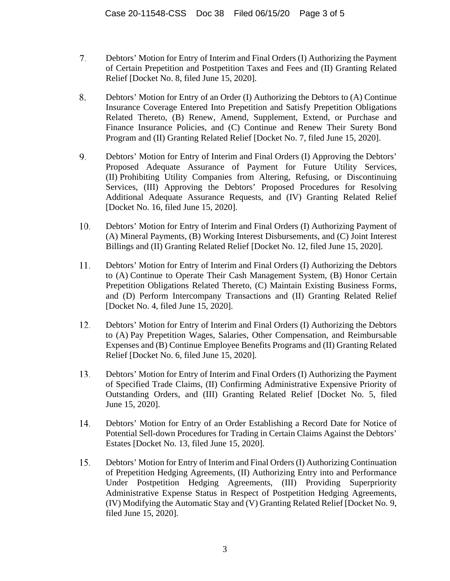- 7. Debtors' Motion for Entry of Interim and Final Orders (I) Authorizing the Payment of Certain Prepetition and Postpetition Taxes and Fees and (II) Granting Related Relief [Docket No. 8, filed June 15, 2020].
- 8. Debtors' Motion for Entry of an Order (I) Authorizing the Debtors to (A) Continue Insurance Coverage Entered Into Prepetition and Satisfy Prepetition Obligations Related Thereto, (B) Renew, Amend, Supplement, Extend, or Purchase and Finance Insurance Policies, and (C) Continue and Renew Their Surety Bond Program and (II) Granting Related Relief [Docket No. 7, filed June 15, 2020].
- 9. Debtors' Motion for Entry of Interim and Final Orders (I) Approving the Debtors' Proposed Adequate Assurance of Payment for Future Utility Services, (II) Prohibiting Utility Companies from Altering, Refusing, or Discontinuing Services, (III) Approving the Debtors' Proposed Procedures for Resolving Additional Adequate Assurance Requests, and (IV) Granting Related Relief [Docket No. 16, filed June 15, 2020].
- 10. Debtors' Motion for Entry of Interim and Final Orders (I) Authorizing Payment of (A) Mineral Payments, (B) Working Interest Disbursements, and (C) Joint Interest Billings and (II) Granting Related Relief [Docket No. 12, filed June 15, 2020].
- 11. Debtors' Motion for Entry of Interim and Final Orders (I) Authorizing the Debtors to (A) Continue to Operate Their Cash Management System, (B) Honor Certain Prepetition Obligations Related Thereto, (C) Maintain Existing Business Forms, and (D) Perform Intercompany Transactions and (II) Granting Related Relief [Docket No. 4, filed June 15, 2020].
- 12. Debtors' Motion for Entry of Interim and Final Orders (I) Authorizing the Debtors to (A) Pay Prepetition Wages, Salaries, Other Compensation, and Reimbursable Expenses and (B) Continue Employee Benefits Programs and (II) Granting Related Relief [Docket No. 6, filed June 15, 2020].
- 13. Debtors' Motion for Entry of Interim and Final Orders (I) Authorizing the Payment of Specified Trade Claims, (II) Confirming Administrative Expensive Priority of Outstanding Orders, and (III) Granting Related Relief [Docket No. 5, filed June 15, 2020].
- 14. Debtors' Motion for Entry of an Order Establishing a Record Date for Notice of Potential Sell-down Procedures for Trading in Certain Claims Against the Debtors' Estates [Docket No. 13, filed June 15, 2020].
- 15. Debtors' Motion for Entry of Interim and Final Orders (I) Authorizing Continuation of Prepetition Hedging Agreements, (II) Authorizing Entry into and Performance Under Postpetition Hedging Agreements, (III) Providing Superpriority Administrative Expense Status in Respect of Postpetition Hedging Agreements, (IV) Modifying the Automatic Stay and (V) Granting Related Relief [Docket No. 9, filed June 15, 2020].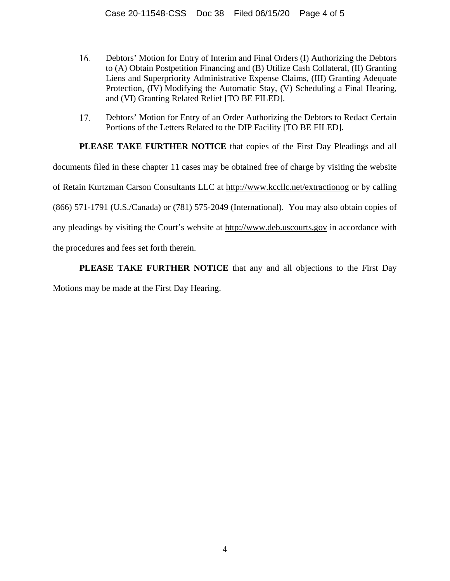- 16. Debtors' Motion for Entry of Interim and Final Orders (I) Authorizing the Debtors to (A) Obtain Postpetition Financing and (B) Utilize Cash Collateral, (II) Granting Liens and Superpriority Administrative Expense Claims, (III) Granting Adequate Protection, (IV) Modifying the Automatic Stay, (V) Scheduling a Final Hearing, and (VI) Granting Related Relief [TO BE FILED].
- Debtors' Motion for Entry of an Order Authorizing the Debtors to Redact Certain 17. Portions of the Letters Related to the DIP Facility [TO BE FILED].

**PLEASE TAKE FURTHER NOTICE** that copies of the First Day Pleadings and all documents filed in these chapter 11 cases may be obtained free of charge by visiting the website of Retain Kurtzman Carson Consultants LLC at http://www.kccllc.net/extractionog or by calling (866) 571-1791 (U.S./Canada) or (781) 575-2049 (International). You may also obtain copies of any pleadings by visiting the Court's website at http://www.deb.uscourts.gov in accordance with the procedures and fees set forth therein.

**PLEASE TAKE FURTHER NOTICE** that any and all objections to the First Day

Motions may be made at the First Day Hearing.